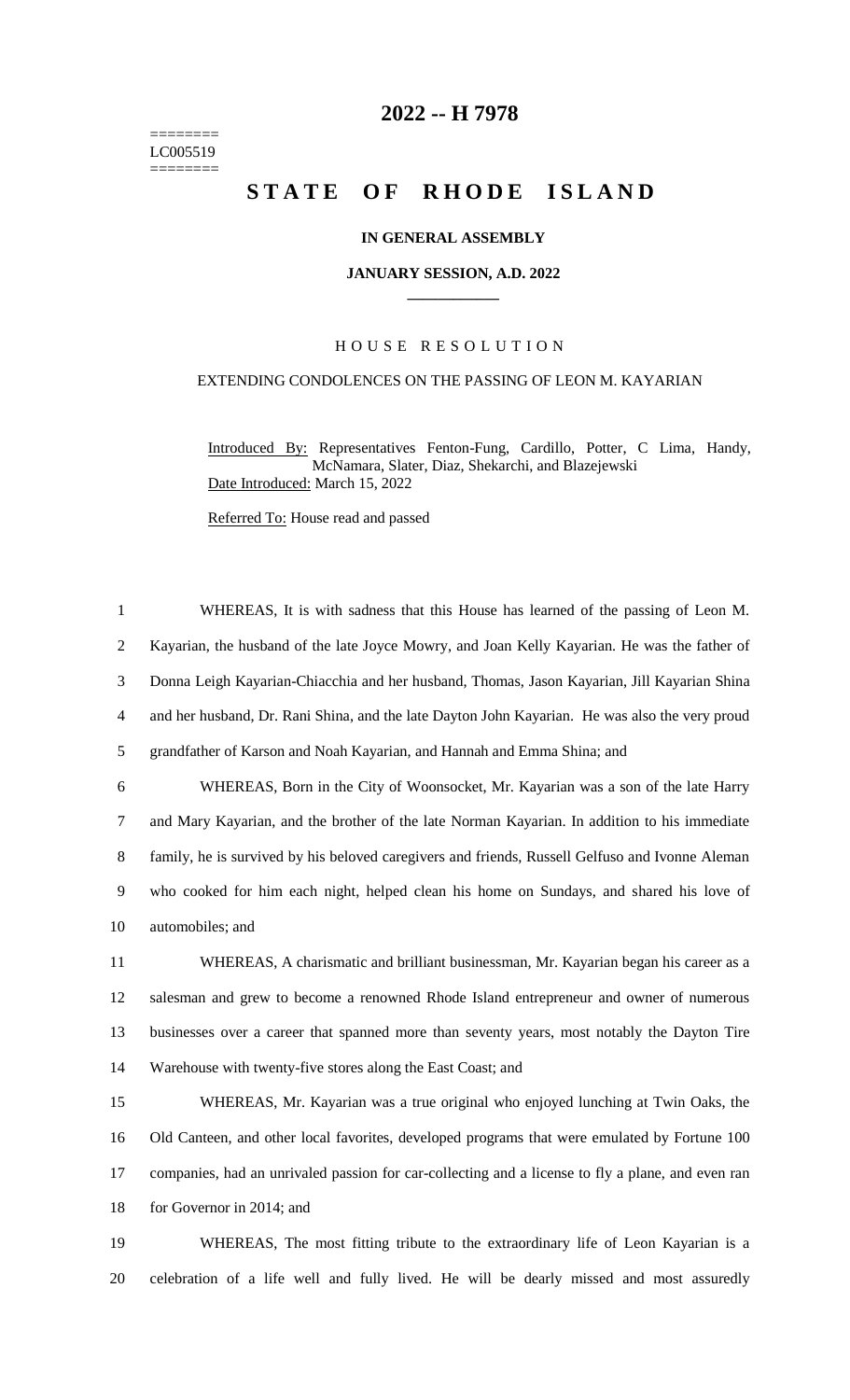======== LC005519 ========

## **-- H 7978**

# **STATE OF RHODE ISLAND**

## **IN GENERAL ASSEMBLY**

#### **JANUARY SESSION, A.D. 2022 \_\_\_\_\_\_\_\_\_\_\_\_**

## H O U S E R E S O L U T I O N

## EXTENDING CONDOLENCES ON THE PASSING OF LEON M. KAYARIAN

Introduced By: Representatives Fenton-Fung, Cardillo, Potter, C Lima, Handy, McNamara, Slater, Diaz, Shekarchi, and Blazejewski Date Introduced: March 15, 2022

Referred To: House read and passed

 WHEREAS, It is with sadness that this House has learned of the passing of Leon M. Kayarian, the husband of the late Joyce Mowry, and Joan Kelly Kayarian. He was the father of Donna Leigh Kayarian-Chiacchia and her husband, Thomas, Jason Kayarian, Jill Kayarian Shina and her husband, Dr. Rani Shina, and the late Dayton John Kayarian. He was also the very proud grandfather of Karson and Noah Kayarian, and Hannah and Emma Shina; and WHEREAS, Born in the City of Woonsocket, Mr. Kayarian was a son of the late Harry and Mary Kayarian, and the brother of the late Norman Kayarian. In addition to his immediate family, he is survived by his beloved caregivers and friends, Russell Gelfuso and Ivonne Aleman who cooked for him each night, helped clean his home on Sundays, and shared his love of automobiles; and WHEREAS, A charismatic and brilliant businessman, Mr. Kayarian began his career as a salesman and grew to become a renowned Rhode Island entrepreneur and owner of numerous businesses over a career that spanned more than seventy years, most notably the Dayton Tire Warehouse with twenty-five stores along the East Coast; and WHEREAS, Mr. Kayarian was a true original who enjoyed lunching at Twin Oaks, the Old Canteen, and other local favorites, developed programs that were emulated by Fortune 100 companies, had an unrivaled passion for car-collecting and a license to fly a plane, and even ran

for Governor in 2014; and

 WHEREAS, The most fitting tribute to the extraordinary life of Leon Kayarian is a celebration of a life well and fully lived. He will be dearly missed and most assuredly